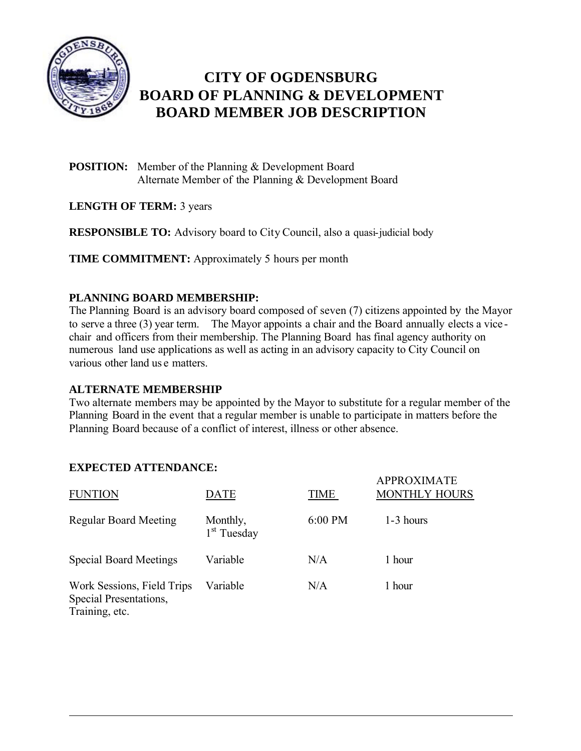

# **CITY OF OGDENSBURG BOARD OF PLANNING & DEVELOPMENT BOARD MEMBER JOB DESCRIPTION**

- **POSITION:** Member of the Planning & Development Board Alternate Member of the Planning & Development Board
- **LENGTH OF TERM:** 3 years

**RESPONSIBLE TO:** Advisory board to City Council, also a quasi-judicial body

**TIME COMMITMENT:** Approximately 5 hours per month

## **PLANNING BOARD MEMBERSHIP:**

The Planning Board is an advisory board composed of seven (7) citizens appointed by the Mayor to serve a three (3) year term. The Mayor appoints a chair and the Board annually elects a vice chair and officers from their membership. The Planning Board has final agency authority on numerous land use applications as well as acting in an advisory capacity to City Council on various other land us e matters.

#### **ALTERNATE MEMBERSHIP**

Two alternate members may be appointed by the Mayor to substitute for a regular member of the Planning Board in the event that a regular member is unable to participate in matters before the Planning Board because of a conflict of interest, illness or other absence.

### **EXPECTED ATTENDANCE:**

| <b>FUNTION</b>                                                         | <b>DATE</b>                         | TIME      | <b>APPROXIMATE</b><br><b>MONTHLY HOURS</b> |
|------------------------------------------------------------------------|-------------------------------------|-----------|--------------------------------------------|
| <b>Regular Board Meeting</b>                                           | Monthly,<br>1 <sup>st</sup> Tuesday | $6:00$ PM | 1-3 hours                                  |
| <b>Special Board Meetings</b>                                          | Variable                            | N/A       | 1 hour                                     |
| Work Sessions, Field Trips<br>Special Presentations,<br>Training, etc. | Variable                            | N/A       | 1 hour                                     |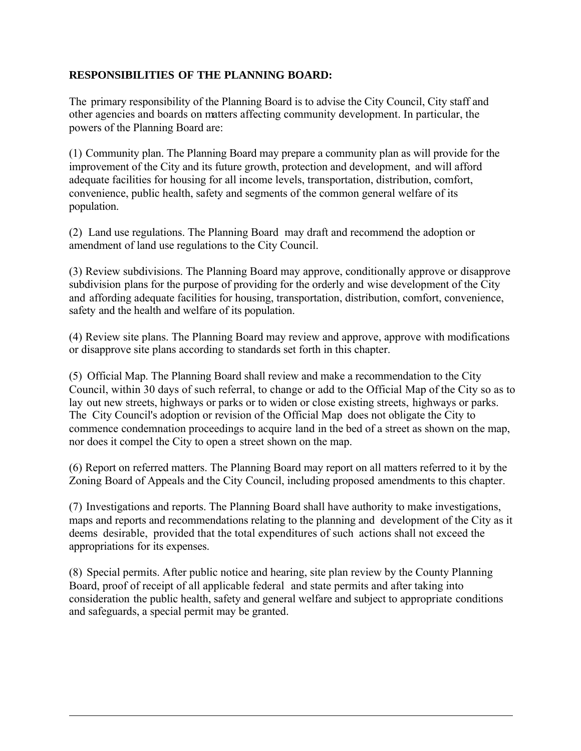### **RESPONSIBILITIES OF THE PLANNING BOARD:**

The primary responsibility of the Planning Board is to advise the City Council, City staff and other agencies and boards on matters affecting community development. In particular, the powers of the Planning Board are:

(1) Community plan. The Planning Board may prepare a community plan as will provide for the improvement of the City and its future growth, protection and development, and will afford adequate facilities for housing for all income levels, transportation, distribution, comfort, convenience, public health, safety and segments of the common general welfare of its population.

(2) Land use regulations. The Planning Board may draft and recommend the adoption or amendment of land use regulations to the City Council.

(3) Review subdivisions. The Planning Board may approve, conditionally approve or disapprove subdivision plans for the purpose of providing for the orderly and wise development of the City and affording adequate facilities for housing, transportation, distribution, comfort, convenience, safety and the health and welfare of its population.

(4) Review site plans. The Planning Board may review and approve, approve with modifications or disapprove site plans according to standards set forth in this chapter.

(5) Official Map. The Planning Board shall review and make a recommendation to the City Council, within 30 days of such referral, to change or add to the Official Map of the City so as to lay out new streets, highways or parks or to widen or close existing streets, highways or parks. The City Council's adoption or revision of the Official Map does not obligate the City to commence condemnation proceedings to acquire land in the bed of a street as shown on the map, nor does it compel the City to open a street shown on the map.

(6) Report on referred matters. The Planning Board may report on all matters referred to it by the Zoning Board of Appeals and the City Council, including proposed amendments to this chapter.

(7) Investigations and reports. The Planning Board shall have authority to make investigations, maps and reports and recommendations relating to the planning and development of the City as it deems desirable, provided that the total expenditures of such actions shall not exceed the appropriations for its expenses.

(8) Special permits. After public notice and hearing, site plan review by the County Planning Board, proof of receipt of all applicable federal and state permits and after taking into consideration the public health, safety and general welfare and subject to appropriate conditions and safeguards, a special permit may be granted.